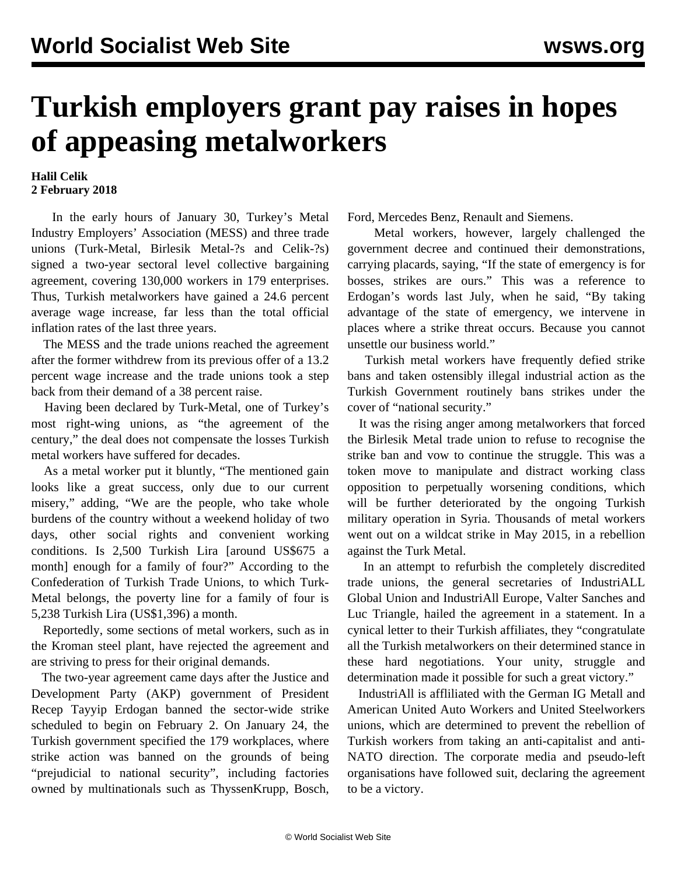## **Turkish employers grant pay raises in hopes of appeasing metalworkers**

## **Halil Celik 2 February 2018**

 In the early hours of January 30, Turkey's Metal Industry Employers' Association (MESS) and three trade unions (Turk-Metal, Birlesik Metal-?s and Celik-?s) signed a two-year sectoral level collective bargaining agreement, covering 130,000 workers in 179 enterprises. Thus, Turkish metalworkers have gained a 24.6 percent average wage increase, far less than the total official inflation rates of the last three years.

 The MESS and the trade unions reached the agreement after the former withdrew from its previous offer of a 13.2 percent wage increase and the trade unions took a step back from their demand of a 38 percent raise.

 Having been declared by Turk-Metal, one of Turkey's most right-wing unions, as "the agreement of the century," the deal does not compensate the losses Turkish metal workers have suffered for decades.

 As a metal worker put it bluntly, "The mentioned gain looks like a great success, only due to our current misery," adding, "We are the people, who take whole burdens of the country without a weekend holiday of two days, other social rights and convenient working conditions. Is 2,500 Turkish Lira [around US\$675 a month] enough for a family of four?" According to the Confederation of Turkish Trade Unions, to which Turk-Metal belongs, the poverty line for a family of four is 5,238 Turkish Lira (US\$1,396) a month.

 Reportedly, some sections of metal workers, such as in the Kroman steel plant, have rejected the agreement and are striving to press for their original demands.

 The two-year agreement came days after the Justice and Development Party (AKP) government of President Recep Tayyip Erdogan banned the sector-wide strike scheduled to begin on February 2. On January 24, the Turkish government specified the 179 workplaces, where strike action was banned on the grounds of being "prejudicial to national security", including factories owned by multinationals such as ThyssenKrupp, Bosch,

Ford, Mercedes Benz, Renault and Siemens.

 Metal workers, however, largely challenged the government decree and continued their demonstrations, carrying placards, saying, "If the state of emergency is for bosses, strikes are ours." This was a reference to Erdogan's words last July, when he said, "By taking advantage of the state of emergency, we intervene in places where a strike threat occurs. Because you cannot unsettle our business world."

 Turkish metal workers have frequently defied strike bans and taken ostensibly illegal industrial action as the Turkish Government routinely bans strikes under the cover of "national security."

 It was the rising anger among metalworkers that forced the Birlesik Metal trade union to refuse to recognise the strike ban and vow to continue the struggle. This was a token move to manipulate and distract working class opposition to perpetually worsening conditions, which will be further deteriorated by the ongoing Turkish military operation in Syria. Thousands of metal workers went out on a wildcat strike in May 2015, in a rebellion against the Turk Metal.

 In an attempt to refurbish the completely discredited trade unions, the general secretaries of IndustriALL Global Union and IndustriAll Europe, Valter Sanches and Luc Triangle, hailed the agreement in a statement. In a cynical letter to their Turkish affiliates, they "congratulate all the Turkish metalworkers on their determined stance in these hard negotiations. Your unity, struggle and determination made it possible for such a great victory."

 IndustriAll is affliliated with the German IG Metall and American United Auto Workers and United Steelworkers unions, which are determined to prevent the rebellion of Turkish workers from taking an anti-capitalist and anti-NATO direction. The corporate media and pseudo-left organisations have followed suit, declaring the agreement to be a victory.